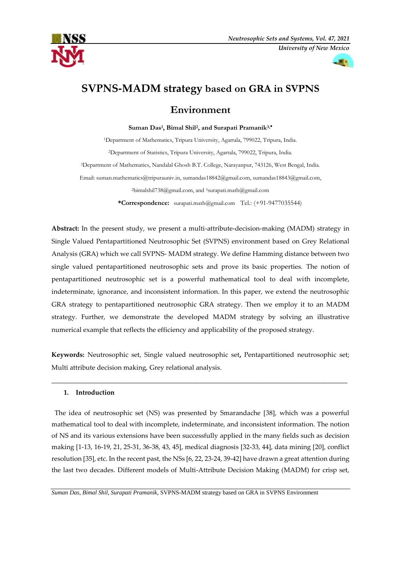



# **SVPNS-MADM strategy based on GRA in SVPNS**

# **Environment**

**Suman Das<sup>1</sup> , Bimal Shil<sup>2</sup> , and Surapati Pramanik3,**

Department of Mathematics, Tripura University, Agartala, 799022, Tripura, India. Department of Statistics, Tripura University, Agartala, 799022, Tripura, India. Department of Mathematics, Nandalal Ghosh B.T. College, Narayanpur, 743126, West Bengal, India. Email: [suman.mathematics@tripurauniv.in,](mailto:1suman.mathematics@tripurauniv.in) [sumandas18842@gmail.com,](mailto:sumandas18842@gmail.com) [sumandas18843@gmail.com,](mailto:sumandas18843@gmail.com) [bimalshil738@gmail.com,](mailto:bimalshil738@gmail.com) and  $3$ surapati.math@gmail.com

**\*Correspondence:** [surapati.math@gmail.com](mailto:%20surapati.math@gmail.com) Tel.: (+91-9477035544)

**Abstract:** In the present study, we present a multi-attribute-decision-making (MADM) strategy in Single Valued Pentapartitioned Neutrosophic Set (SVPNS) environment based on Grey Relational Analysis (GRA) which we call SVPNS- MADM strategy. We define Hamming distance between two single valued pentapartitioned neutrosophic sets and prove its basic properties. The notion of pentapartitioned neutrosophic set is a powerful mathematical tool to deal with incomplete, indeterminate, ignorance, and inconsistent information. In this paper, we extend the neutrosophic GRA strategy to pentapartitioned neutrosophic GRA strategy. Then we employ it to an MADM strategy. Further, we demonstrate the developed MADM strategy by solving an illustrative numerical example that reflects the efficiency and applicability of the proposed strategy.

**Keywords:** Neutrosophic set, Single valued neutrosophic set**,** Pentapartitioned neutrosophic set; Multi attribute decision making, Grey relational analysis.

**\_\_\_\_\_\_\_\_\_\_\_\_\_\_\_\_\_\_\_\_\_\_\_\_\_\_\_\_\_\_\_\_\_\_\_\_\_\_\_\_\_\_\_\_\_\_\_\_\_\_\_\_\_\_\_\_\_\_\_\_\_\_\_\_\_\_\_\_\_\_\_\_\_\_\_\_\_\_\_\_\_\_\_\_\_\_\_\_**

# **1. Introduction**

The idea of neutrosophic set (NS) was presented by Smarandache [38], which was a powerful mathematical tool to deal with incomplete, indeterminate, and inconsistent information. The notion of NS and its various extensions have been successfully applied in the many fields such as decision making [1-13, 16-19, 21, 25-31, 36-38, 43, 45], medical diagnosis [32-33, 44], data mining [20], conflict resolution [35], etc. In the recent past, the NSs [6, 22, 23-24, 39-42] have drawn a great attention during the last two decades. Different models of Multi-Attribute Decision Making (MADM) for crisp set,

*Suman Das, Bimal Shil, Surapati Pramanik,* SVPNS-MADM strategy based on GRA in SVPNS Environment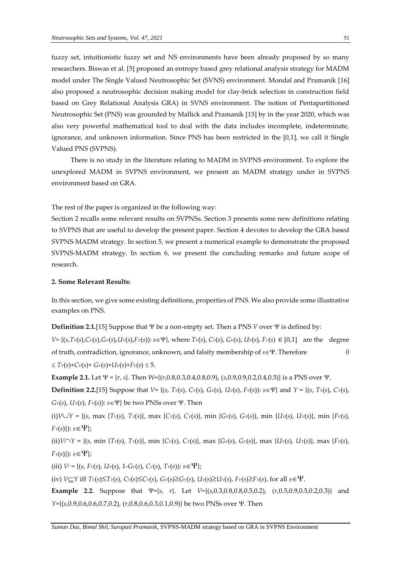fuzzy set, intuitionistic fuzzy set and NS environments have been already proposed by so many researchers. Biswas et al. [5] proposed an entropy based grey relational analysis strategy for MADM model under The Single Valued Neutrosophic Set (SVNS) environment. Mondal and Pramanik [16] also proposed a neutrosophic decision making model for clay-brick selection in construction field based on Grey Relational Analysis GRA) in SVNS environment. The notion of Pentapartitioned Neutrosophic Set (PNS) was grounded by Mallick and Pramanik [15] by in the year 2020, which was also very powerful mathematical tool to deal with the data includes incomplete, indeterminate, ignorance, and unknown information. Since PNS has been restricted in the [0,1], we call it Single Valued PNS (SVPNS).

There is no study in the literature relating to MADM in SVPNS environment. To explore the unexplored MADM in SVPNS environment, we present an MADM strategy under in SVPNS environment based on GRA.

The rest of the paper is organized in the following way:

Section 2 recalls some relevant results on SVPNSs. Section 3 presents some new definitions relating to SVPNS that are useful to develop the present paper. Section 4 devotes to develop the GRA based SVPNS-MADM strategy. In section 5, we present a numerical example to demonstrate the proposed SVPNS-MADM strategy. In section 6, we present the concluding remarks and future scope of research.

# **2. Some Relevant Results:**

In this section, we give some existing definitions, properties of PNS. We also provide some illustrative examples on PNS.

**Definition 2.1.**[15] Suppose that  $\Psi$  be a non-empty set. Then a PNS *V* over  $\Psi$  is defined by:  $V = \{(s, Tv(s), Cv(s), Gv(s), Uv(s), Fv(s)) : s \in \Psi\}$ , where  $Tv(s), Cv(s), Gv(s), Uv(s), Fv(s) \in [0,1]$  are the degree of truth, contradiction, ignorance, unknown, and falsity membership of  $s \in \Psi$ . Therefore 0  $\leq T_V(s) + C_V(s) + G_V(s) + U_V(s) + F_V(s) \leq 5.$ 

**Example 2.1.** Let  $\Psi = \{r, s\}$ . Then  $W = \{(r, 0.8, 0.3, 0.4, 0.8, 0.9), (s, 0.9, 0.9, 0.2, 0.4, 0.5)\}$  is a PNS over  $\Psi$ .

**Definition 2.2.**[15] Suppose that *V*= {(*s*, *TV*(*s*), *CV*(*s*), *GV*(*s*), *UV*(*s*), *FV*(*s*)): *s*} and *Y* = {(*s*, *TY*(*s*), *CY*(*s*),  $G_Y(s)$ ,  $U_Y(s)$ ,  $F_Y(s)$ :  $s \in \Psi$ } be two PNSs over  $\Psi$ . Then

(i)  $V \cup Y = \{(s, \max \{Tv(s), Tv(s)\}, \max \{Cv(s), Cv(s)\}, \min \{Gv(s), Gv(s)\}, \min \{Uv(s), Uv(s)\}, \min \{Fv(s), Gv(s)\}\})$  $F_Y(s)$ :  $s \in \Psi$ ;

(ii)  $V \cap Y = \{(s, \min \{Tv(s), Tv(s)\}, \min \{Cv(s), Cv(s)\}, \max \{Gv(s), Gv(s)\}, \max \{Uv(s), Ur(s)\}, \max \{Fv(s), Gv(s)\} \}$  $F_Y(s)$ :  $s \in \Psi$ ;

(iii)  $V^c = \{(s, Fv(s), Uv(s), 1 - Gv(s), Cv(s), Tv(s)); s \in \Psi\};$ 

(iv)  $V \subseteq Y$  iff  $T_V(s) \leq T_Y(s)$ ,  $C_V(s) \leq C_Y(s)$ ,  $G_V(s) \geq G_Y(s)$ ,  $U_V(s) \geq U_Y(s)$ ,  $F_V(s) \geq F_Y(s)$ , for all  $s \in \Psi$ .

**Example 2.2.** Suppose that  $\Psi = \{s, r\}$ . Let  $V = \{(s, 0.3, 0.8, 0.8, 0.5, 0.2), (r, 0.5, 0.9, 0.5, 0.2, 0.3)\}$  and *Y*={(*s*,0.9,0.6,0.6,0.7,0.2), (*r*,0.8,0.6,0.3,0.1,0.9)} be two PNSs over *Y*. Then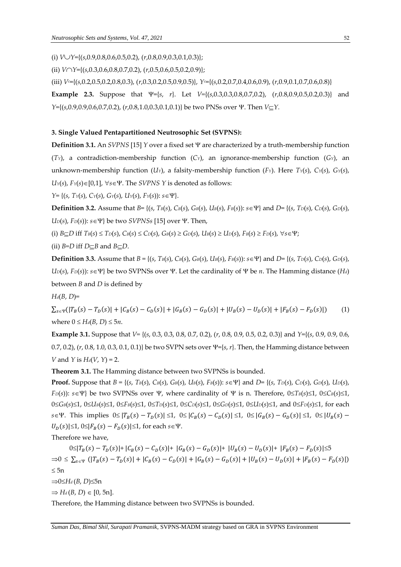(i) *VY*={(*s*,0.9,0.8,0.6,0.5,0.2), (*r*,0.8,0.9,0.3,0.1,0.3)};

(ii) *VY*={(*s*,0.3,0.6,0.8,0.7,0.2), (*r*,0.5,0.6,0.5,0.2,0.9)};

(iii) *Vc*={(*s*,0.2,0.5,0.2,0.8,0.3), (*r*,0.3,0.2,0.5,0.9,0.5)}, *Yc*={(*s*,0.2,0.7,0.4,0.6,0.9), (*r*,0.9,0.1,0.7,0.6,0.8)}

**Example 2.3.** Suppose that  $\Psi = \{s, r\}$ . Let  $V = \{(s, 0.3, 0.3, 0.8, 0.7, 0.2), (r, 0.8, 0.9, 0.5, 0.2, 0.3)\}$  and  $Y=\{(s,0.9,0.9,0.6,0.7,0.2), (r,0.8,1.0,0.3,0.1,0.1)\}\$ be two PNSs over  $\Psi$ . Then  $V\subset Y$ .

# **3. Single Valued Pentapartitioned Neutrosophic Set (SVPNS):**

**Definition 3.1.** An *SVPNS* [15] *Y* over a fixed set  $\Psi$  are characterized by a truth-membership function (*TY*), a contradiction-membership function (*CY*), an ignorance-membership function (*GY*), an unknown-membership function (*UY*), a falsity-membership function (*FY*). Here *TY*(*s*), *CY*(*s*), *GY*(*s*),  $U_Y(s)$ ,  $F_Y(s) \in [0,1]$ ,  $\forall s \in \Psi$ . The *SVPNS Y* is denoted as follows:

*Y*= { $(s, T_Y(s), C_Y(s), G_Y(s), U_Y(s), F_Y(s))$ :  $s \in \Psi$  }.

**Definition 3.2.** Assume that *B*= {(*s*, *TB*(*s*), *CB*(*s*), *GB*(*s*), *UB*(*s*), *FB*(*s*)): *s*} and *D*= {(*s*, *TD*(*s*), *CD*(*s*), *GD*(*s*),  $U_D(s)$ ,  $F_D(s)$ :  $s \in \Psi$ } be two *SVPNSs* [15] over  $\Psi$ . Then,

(i)  $B\subseteq D$  iff  $T_B(s) \leq T_D(s)$ ,  $C_B(s) \leq C_D(s)$ ,  $G_B(s) \geq G_D(s)$ ,  $U_B(s) \geq U_D(s)$ ,  $F_B(s) \geq F_D(s)$ ,  $\forall s \in \Psi$ ;

(ii)  $B=D$  iff  $D\subseteq B$  and  $B\subseteq D$ .

**Definition 3.3.** Assume that *B* = {(*s*, *TB*(*s*), *CB*(*s*), *GB*(*s*), *UB*(*s*), *FB*(*s*)): *s*} and *D*= {(*s*, *TD*(*s*), *CD*(*s*), *GD*(*s*),  $U_D(s)$ ,  $F_D(s)$ ):  $s \in \Psi$ } be two SVPNSs over  $\Psi$ . Let the cardinality of  $\Psi$  be *n*. The Hamming distance (*Hd*) between *B* and *D* is defined by

*Hd*(*B*, *D*)=

 $\sum_{s \in \Psi} (|T_B(s) - T_D(s)| + |C_B(s) - C_D(s)| + |G_B(s) - G_D(s)| + |U_B(s) - U_D(s)| + |F_B(s) - F_D(s)|)$  (1) where  $0 \leq H_d(B, D) \leq 5n$ .

**Example 3.1.** Suppose that *V=* {(*s*, 0.3, 0.3, 0.8, 0.7, 0.2), (*r*, 0.8, 0.9, 0.5, 0.2, 0.3)} and *Y*={(*s*, 0.9, 0.9, 0.6, 0.7, 0.2),  $(r, 0.8, 1.0, 0.3, 0.1, 0.1)$  be two SVPN sets over  $\Psi = \{s, r\}$ . Then, the Hamming distance between *V* and *Y* is *Hd*(*V*, *Y*) = 2.

**Theorem 3.1.** The Hamming distance between two SVPNSs is bounded.

**Proof.** Suppose that *B* = {(*s*, *TB*(*s*), *CB*(*s*), *GB*(*s*), *UB*(*s*), *FB*(*s*)): *s*} and *D*= {(*s*, *TD*(*s*), *CD*(*s*), *GD*(*s*), *UD*(*s*), *F*<sub>D</sub>(*s*)):  $s \in \Psi$ } be two SVPNSs over  $\Psi$ , where cardinality of  $\Psi$  is n. Therefore,  $0 \le T_B(s) \le 1$ ,  $0 \le C_B(s) \le 1$ ,  $0 \le G_B(s) \le 1$ ,  $0 \le U_B(s) \le 1$ ,  $0 \le F_B(s) \le 1$ ,  $0 \le T_D(s) \le 1$ ,  $0 \le C_D(s) \le 1$ ,  $0 \le G_D(s) \le 1$ ,  $0 \le U_D(s) \le 1$ , and  $0 \le F_D(s) \le 1$ , for each *s*∈Ψ. This implies  $0 \le |T_B(s) - T_D(s)| \le 1$ ,  $0 \le |C_B(s) - C_D(s)| \le 1$ ,  $0 \le |G_B(s) - G_D(s)| \le 1$ ,  $0 \le |U_B(s) - C_D(s)| \le 1$  $|U_D(s)| \le 1, 0 \le |F_B(s) - F_D(s)| \le 1$ , for each *s*∈Ψ.

Therefore we have,

 $0 \le |T_B(s) - T_D(s)| + |C_B(s) - C_D(s)| + |G_B(s) - G_D(s)| + |U_B(s) - U_D(s)| + |F_B(s) - F_D(s)| \le 5$  $\Rightarrow 0 \leq \sum_{s \in \Psi} (|T_B(s) - T_D(s)| + |C_B(s) - C_D(s)| + |G_B(s) - G_D(s)| + |U_B(s) - U_D(s)| + |F_B(s) - F_D(s)|)$  $\leq 5n$  $\Rightarrow$ 0 $\leq$ *H*<sup>*d*</sup> (*B*, *D*) $\leq$ 5n

 $\Rightarrow$  *H<sub>d</sub>*(*B*, *D*)  $\in$  [0, 5n].

Therefore, the Hamming distance between two SVPNSs is bounded.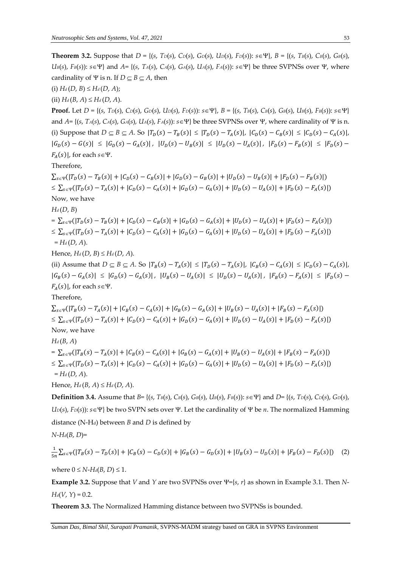**Theorem 3.2.** Suppose that *D* = {(*s*, *TD*(*s*), *CD*(*s*), *GD*(*s*), *UD*(*s*), *FD*(*s*)): *s*}, *B* = {(*s*, *TB*(*s*), *CB*(*s*), *GB*(*s*),  $U_B(s)$ ,  $F_B(s)$ :  $s \in \Psi$  and  $A = \{(s, T_A(s), C_A(s), G_A(s), U_A(s), F_A(s)) : s \in \Psi\}$  be three SVPNSs over  $\Psi$ , where cardinality of  $\Psi$  is n. If  $D \subset B \subset A$ , then  $(H_d(D, B) \leq H_d(D, A);$  $(H_d(B, A) \leq H_d(D, A)).$ **Proof.** Let  $D = \{(s, T_D(s), C_D(s), G_D(s), U_D(s), F_D(s)) : s \in \Psi\}$ ,  $B = \{(s, T_B(s), C_B(s), G_B(s), U_B(s), F_B(s)) : s \in \Psi\}$ and  $A = \{(s, TA(s), CA(s), GA(s), UA(s), FA(s)); s \in \Psi\}$  be three SVPNSs over  $\Psi$ , where cardinality of  $\Psi$  is n. (i) Suppose that  $D \subseteq B \subseteq A$ . So  $|T_D(s) - T_B(s)| \le |T_D(s) - T_A(s)|$ ,  $|C_D(s) - C_B(s)| \le |C_D(s) - C_A(s)|$ ,  $|G_D(s) - G(s)| \leq |G_D(s) - G_A(s)|$ ,  $|U_D(s) - U_B(s)| \leq |U_D(s) - U_A(s)|$ ,  $|F_D(s) - F_B(s)| \leq |F_D(s) - F_B(s)|$  $F_A(s)|$ , for each  $s \in \Psi$ . Therefore,  $\sum_{s \in \Psi} (|T_D(s) - T_B(s)| + |C_D(s) - C_B(s)| + |G_D(s) - G_B(s)| + |U_D(s) - U_B(s)| + |F_D(s) - F_B(s)|)$  $\leq \sum_{s \in \Psi} (|T_D(s) - T_A(s)| + |C_D(s) - C_A(s)| + |G_D(s) - G_A(s)| + |U_D(s) - U_A(s)| + |F_D(s) - F_A(s)|)$ Now*,* we have *Hd* (*D*, *B*) =  $\sum_{s \in \Psi} (|T_D(s) - T_B(s)| + |C_D(s) - C_B(s)| + |G_D(s) - G_A(s)| + |U_D(s) - U_A(s)| + |F_D(s) - F_A(s)|)$  $\leq \sum_{s \in \Psi} (|T_D(s) - T_A(s)| + |C_D(s) - C_A(s)| + |G_D(s) - G_A(s)| + |U_D(s) - U_A(s)| + |F_D(s) - F_A(s)|)$  $= H_d(D, A).$  $Hence, H_d(D, B) \leq H_d(D, A).$ (ii) Assume that  $D \subseteq B \subseteq A$ . So  $|T_B(s) - T_A(s)| \leq |T_D(s) - T_A(s)|$ ,  $|C_B(s) - C_A(s)| \leq |C_D(s) - C_A(s)|$ ,  $|G_B(s) - G_A(s)| \leq |G_D(s) - G_A(s)|$ ,  $|U_B(s) - U_A(s)| \leq |U_D(s) - U_A(s)|$ ,  $|F_B(s) - F_A(s)| \leq |F_D(s) - F_A(s)|$  $F_A(s)|$ , for each  $s \in \Psi$ . Therefore,  $\sum_{s \in \Psi} (|T_B(s) - T_A(s)| + |C_B(s) - C_A(s)| + |G_B(s) - G_A(s)| + |U_B(s) - U_A(s)| + |F_B(s) - F_A(s)|)$  $\leq \sum_{s \in \Psi} (|T_D(s) - T_A(s)| + |C_D(s) - C_A(s)| + |G_D(s) - G_A(s)| + |U_D(s) - U_A(s)| + |F_D(s) - F_A(s)|)$ Now*,* we have *Hd* (*B*, *A*) =  $\sum_{s \in \Psi} (|T_B(s) - T_A(s)| + |C_B(s) - C_A(s)| + |G_B(s) - G_A(s)| + |U_B(s) - U_A(s)| + |F_B(s) - F_A(s)|)$  $\leq \sum_{s \in \Psi} (|T_D(s) - T_A(s)| + |C_D(s) - C_A(s)| + |G_D(s) - G_A(s)| + |U_D(s) - U_A(s)| + |F_D(s) - F_A(s)|)$  $= H_d(D, A).$ Hence,  $H_d(B, A) \leq H_d(D, A)$ . **Definition 3.4.** Assume that *B*= {(*s*, *TB*(*s*), *CB*(*s*), *GB*(*s*), *UB*(*s*), *FB*(*s*)): *s*} and *D*= {(*s*, *TD*(*s*), *CD*(*s*), *GD*(*s*),  $U_D(s)$ ,  $F_D(s)$ :  $s \in \Psi$ } be two SVPN sets over  $\Psi$ . Let the cardinality of  $\Psi$  be *n*. The normalized Hamming distance (N-Hd) between *B* and *D* is defined by

$$
N\text{-}H_d(B,\,D)\text{=}
$$

$$
\frac{1}{5n}\sum_{s\in\Psi}(|T_B(s) - T_D(s)| + |C_B(s) - C_D(s)| + |G_B(s) - G_D(s)| + |U_B(s) - U_D(s)| + |F_B(s) - F_D(s)|) \tag{2}
$$

where  $0 \leq N$ -*H*<sub>*d*</sub>(*B*, *D*)  $\leq 1$ .

**Example 3.2.** Suppose that *V* and *Y* are two SVPNSs over  $\Psi = \{s, r\}$  as shown in Example 3.1. Then *N*-*H*<sup> $d$ </sup>(*V*, *Y*) = 0.2.

**Theorem 3.3.** The Normalized Hamming distance between two SVPNSs is bounded.

*Suman Das, Bimal Shil, Surapati Pramanik,* SVPNS-MADM strategy based on GRA in SVPNS Environment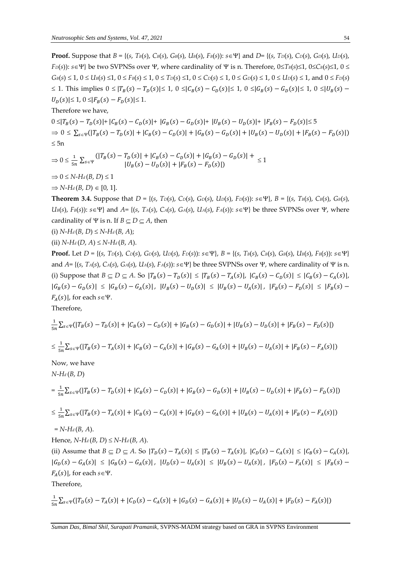**Proof.** Suppose that *B* = {(*s*, *TB*(*s*), *CB*(*s*), *GB*(*s*), *UB*(*s*), *FB*(*s*)): *s*} and *D*= {(*s*, *TD*(*s*), *CD*(*s*), *GD*(*s*), *UD*(*s*), *F*<sub>D</sub>(*s*)):  $s \in \Psi$ } be two SVPNSs over  $\Psi$ , where cardinality of  $\Psi$  is n. Therefore,  $0 \leq T_B(s) \leq 1$ ,  $0 \leq C_B(s) \leq 1$ ,  $0 \leq$  $G_B(s) \le 1$ ,  $0 \le U_B(s) \le 1$ ,  $0 \le F_B(s) \le 1$ ,  $0 \le T_D(s) \le 1$ ,  $0 \le C_D(s) \le 1$ ,  $0 \le G_D(s) \le 1$ ,  $0 \le U_D(s) \le 1$ , and  $0 \le F_D(s)$ ≤ 1. This implies  $0 \leq |T_B(s) - T_D(s)| \leq 1$ ,  $0 \leq |C_B(s) - C_D(s)| \leq 1$ ,  $0 \leq |G_B(s) - G_D(s)| \leq 1$ ,  $0 \leq |U_B(s) - C_D(s)| \leq 1$  $|U_D(s)| \leq 1, 0 \leq |F_B(s) - F_D(s)| \leq 1.$ 

Therefore we have,

 $0 \leq |T_B(s) - T_D(s)|$ + |C<sub>B</sub>(s) − C<sub>D</sub>(s)|+ |G<sub>B</sub>(s) − G<sub>D</sub>(s)|+ |U<sub>B</sub>(s) − U<sub>D</sub>(s)|+ |F<sub>B</sub>(s) − F<sub>D</sub>(s)|≤ 5  $\Rightarrow 0 \leq \sum_{s \in \Psi} (|T_B(s) - T_D(s)| + |C_B(s) - C_D(s)| + |G_B(s) - G_D(s)| + |U_B(s) - U_D(s)| + |F_B(s) - F_D(s)|)$  $\leq 5n$ 

$$
\Rightarrow 0 \le \frac{1}{5n} \sum_{s \in \Psi} \left( |T_B(s) - T_D(s)| + |C_B(s) - C_D(s)| + |G_B(s) - G_D(s)| + \right. \\ \left. \sum_{s \in \Psi} \left( |T_B(s) - T_D(s)| + |F_B(s) - F_D(s)| \right) \right) \le 1
$$

 $\Rightarrow$  0  $\leq$  *N*-*H*<sup>*d*</sup> (*B*, *D*)  $\leq$  1

 $\Rightarrow$  *N*-*H*<sup>*d*</sup>(*B*, *D*)  $\in$  [0, 1].

**Theorem 3.4.** Suppose that *D* = {(*s*, *TD*(*s*), *CD*(*s*), *GD*(*s*), *UD*(*s*), *FD*(*s*)): *s*}, *B* = {(*s*, *TB*(*s*), *CB*(*s*), *GB*(*s*),  $U_B(s)$ ,  $F_B(s)$ :  $s \in \Psi$  and  $A = \{(s, TA(s), CA(s), GA(s), UA(s), FA(s))$ :  $s \in \Psi\}$  be three SVPNSs over  $\Psi$ , where cardinality of  $\Psi$  is n. If  $B \subseteq D \subseteq A$ , then

(i) 
$$
N-H_d(B, D) \le N-H_d(B, A);
$$

(ii)  $N$ - $H_d(D, A) \leq N$ - $H_d(B, A)$ .

**Proof.** Let  $D = \{(s, T_D(s), C_D(s), G_D(s), U_D(s), F_D(s)) : s \in \Psi\}$ ,  $B = \{(s, T_B(s), C_B(s), G_B(s), U_B(s), F_B(s)) : s \in \Psi\}$ and  $A = \{(s, TA(s), CA(s), GA(s), UA(s), FA(s)) : s \in \Psi\}$  be three SVPNSs over  $\Psi$ , where cardinality of  $\Psi$  is n. (i) Suppose that  $B \subseteq D \subseteq A$ . So  $|T_B(s) - T_D(s)| \leq |T_B(s) - T_A(s)|$ ,  $|C_B(s) - C_D(s)| \leq |C_B(s) - C_A(s)|$ ,  $|G_B(s) - G_D(s)| \leq |G_B(s) - G_A(s)|$ ,  $|U_B(s) - U_D(s)| \leq |U_B(s) - U_A(s)|$ ,  $|F_B(s) - F_D(s)| \leq |F_B(s) - F_D(s)|$  $F_A(s)|$ , for each  $s \in \Psi$ .

Therefore,

$$
\frac{1}{5n}\sum_{s\in\Psi}(|T_B(s) - T_D(s)| + |C_B(s) - C_D(s)| + |G_B(s) - G_D(s)| + |U_B(s) - U_D(s)| + |F_B(s) - F_D(s)|)
$$
\n
$$
\leq \frac{1}{5n}\sum_{s\in\Psi}(|T_B(s) - T_A(s)| + |C_B(s) - C_A(s)| + |G_B(s) - G_A(s)| + |U_B(s) - U_A(s)| + |F_B(s) - F_A(s)|)
$$
\nNow, we have\n
$$
N-H_d(B, D)
$$
\n
$$
= \frac{1}{5n}\sum_{s\in\Psi}(|T_B(s) - T_D(s)| + |C_B(s) - C_D(s)| + |G_B(s) - G_D(s)| + |U_B(s) - U_D(s)| + |F_B(s) - F_D(s)|)
$$

$$
\leq \frac{1}{5n} \sum_{s \in \Psi} (|T_B(s) - T_A(s)| + |C_B(s) - C_A(s)| + |G_B(s) - G_A(s)| + |U_B(s) - U_A(s)| + |F_B(s) - F_A(s)|)
$$

 $= N - H_d(B, A).$ 

Hence, 
$$
N
$$
- $H_d(B, D) \leq N$ - $H_d(B, A)$ .

(ii) Assume that  $B \subseteq D \subseteq A$ . So  $|T_D(s) - T_A(s)| \leq |T_B(s) - T_A(s)|$ ,  $|C_D(s) - C_A(s)| \leq |C_B(s) - C_A(s)|$ ,  $|G_D(s) - G_A(s)| \leq |G_B(s) - G_A(s)|$ ,  $|U_D(s) - U_A(s)| \leq |U_B(s) - U_A(s)|$ ,  $|F_D(s) - F_A(s)| \leq |F_B(s) - F_A(s)|$  $F_A(s)|$ , for each  $s \in \Psi$ .

Therefore,

$$
\frac{1}{5n}\sum_{s\in\Psi}(|T_D(s) - T_A(s)| + |C_D(s) - C_A(s)| + |G_D(s) - G_A(s)| + |U_D(s) - U_A(s)| + |F_D(s) - F_A(s)|)
$$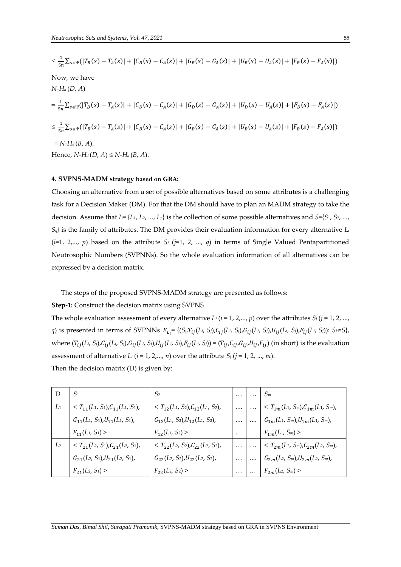$$
\leq \frac{1}{5n} \sum_{s \in \Psi} (|T_B(s) - T_A(s)| + |C_B(s) - C_A(s)| + |G_B(s) - G_A(s)| + |U_B(s) - U_A(s)| + |F_B(s) - F_A(s)|)
$$
  
\nNow, we have  
\n
$$
N-H_d(D, A)
$$
  
\n
$$
= \frac{1}{5n} \sum_{s \in \Psi} (|T_D(s) - T_A(s)| + |C_D(s) - C_A(s)| + |G_D(s) - G_A(s)| + |U_D(s) - U_A(s)| + |F_D(s) - F_A(s)|)
$$
  
\n
$$
\leq \frac{1}{5n} \sum_{s \in \Psi} (|T_B(s) - T_A(s)| + |C_B(s) - C_A(s)| + |G_B(s) - G_A(s)| + |U_B(s) - U_A(s)| + |F_B(s) - F_A(s)|)
$$
  
\n
$$
= N-H_d(B, A).
$$
  
\nHence,  $N-H_d(D, A) \leq N-H_d(B, A)$ .

### **4. SVPNS-MADM strategy based on GRA:**

Choosing an alternative from a set of possible alternatives based on some attributes is a challenging task for a Decision Maker (DM). For that the DM should have to plan an MADM strategy to take the decision. Assume that *L*= {*L*1, *L*2, *...*, *Lp*} is the collection of some possible alternatives and *S*={*S*1, *S*2, *...*,  $S_q$ } is the family of attributes. The DM provides their evaluation information for every alternative  $L_i$  $(i=1, 2,..., p)$  based on the attribute  $S_j$  ( $j=1, 2, ..., q$ ) in terms of Single Valued Pentapartitioned Neutrosophic Numbers (SVPNNs). So the whole evaluation information of all alternatives can be expressed by a decision matrix.

The steps of the proposed SVPNS-MADM strategy are presented as follows:

**Step-1:** Construct the decision matrix using SVPNS

The whole evaluation assessment of every alternative  $L_i$  ( $i = 1, 2, ..., p$ ) over the attributes  $S_j$  ( $j = 1, 2, ...,$ q) is presented in terms of SVPNNs  $E_{L_i}$ = {(S<sub>i</sub>, $T_{ij}(L_i, S_i)$ , $C_{ij}(L_i, S_i)$ , $G_{ij}(L_i, S_i)$ , $U_{ij}(L_i, S_i)$ , $F_{ij}(L_i, S_i)$ ): S<sub>i</sub>∈S}, where  $(T_{ij}(L_i, S_j), C_{ij}(L_i, S_j), G_{ij}(L_i, S_j), U_{ij}(L_i, S_j), F_{ij}(L_i, S_j)) = (T_{ij}, C_{ij}, G_{ij}, U_{ij}, F_{ij})$  (in short) is the evaluation assessment of alternative  $L_i$  ( $i = 1, 2, ..., n$ ) over the attribute  $S_j$  ( $j = 1, 2, ..., m$ ). Then the decision matrix (D) is given by:

|                | $S_1$                                 | S <sub>2</sub>                          |          | $S_m$                                   |
|----------------|---------------------------------------|-----------------------------------------|----------|-----------------------------------------|
| $L_1$          | $T_1(L_1, S_1), C_{11}(L_1, S_1),$    | < $T_{12}(L_1, S_2), C_{12}(L_1, S_2),$ |          | $< T_{1m}(L_1, S_m), C_{1m}(L_1, S_m),$ |
|                | $G_{11}(L_1, S_1), U_{11}(L_1, S_1),$ | $G_{12}(L_1, S_2), U_{12}(L_1, S_2),$   |          | $G_{1m}(L_1, S_m), U_{1m}(L_1, S_m),$   |
|                | $F_{11}(L_1, S_1)$                    | $F_{12}(L_1, S_2)$                      |          | $F_{1m}(L_1, S_m)$ >                    |
| L <sub>2</sub> | $T_{21}(L_2, S_1), C_{21}(L_2, S_1),$ | < $T_{22}(L_2, S_2), C_{22}(L_2, S_2),$ | $\cdots$ | $< T_{2m}(L_2, S_m), C_{2m}(L_2, S_m),$ |
|                | $G_{21}(L_2, S_1), U_{21}(L_2, S_1),$ | $G_{22}(L_2, S_2), U_{22}(L_2, S_2),$   | $\cdots$ | $G_{2m}(L_2, S_m), U_{2m}(L_2, S_m),$   |
|                | $F_{21}(L_2, S_1)$                    | $F_{22}(L_2, S_2)$                      | $\cdots$ | $F_{2m}(L_2, S_m)$ >                    |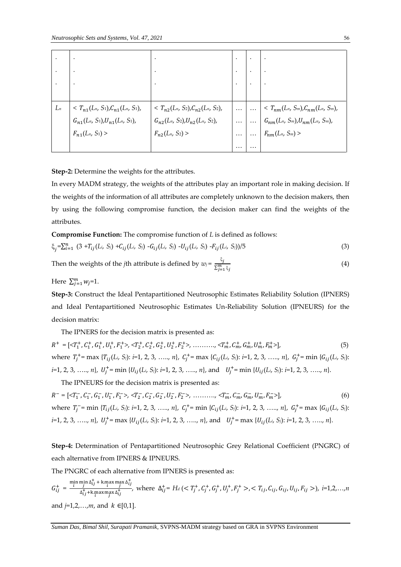|       |                                       | ٠                                     |          |                                                             |
|-------|---------------------------------------|---------------------------------------|----------|-------------------------------------------------------------|
|       |                                       | ٠                                     |          |                                                             |
|       |                                       |                                       |          |                                                             |
| $L_n$ | $T_{n1}(L_n, S_1), C_{n1}(L_n, S_1),$ | $T_{n2}(L_n, S_2), C_{n2}(L_n, S_2),$ | $\cdots$ | $T_{nm}(L_n, S_m), C_{nm}(L_n, S_m)$ ,                      |
|       | $G_{n1}(L_n, S_1), U_{n1}(L_n, S_1),$ | $G_{n2}(L_n, S_2), U_{n2}(L_n, S_2),$ | $\cdots$ | $\ldots \Bigm  \ G_{nm}(L_n, \, S_m), U_{nm}(L_n, \, S_m),$ |
|       | $F_{n1}(L_n, S_1)$                    | $F_{n2}(L_n, S_2)$                    | $\cdots$ | $\Big  \dots \Big  F_{nm}(L_n, S_m)$                        |
|       |                                       |                                       | $\cdots$ |                                                             |

**Step-2:** Determine the weights for the attributes.

In every MADM strategy, the weights of the attributes play an important role in making decision. If the weights of the information of all attributes are completely unknown to the decision makers, then by using the following compromise function, the decision maker can find the weights of the attributes.

**Compromise Function:** The compromise function of *L* is defined as follows:

$$
\xi_j = \sum_{i=1}^n (3 + T_{ij}(L_i, S_i) + C_{ij}(L_i, S_i) - G_{ij}(L_i, S_i) - U_{ij}(L_i, S_i) - F_{ij}(L_i, S_i)) / 5
$$
\n(3)

Then the weights of the *j*th attribute is defined by  $w_j = \frac{\xi_j}{\sqrt{m}}$  $\overline{\Sigma_{j=1}^m}$ ξj (4)

Here  $\sum_{j=1}^{m} w_j = 1$ .

**Step-3:** Construct the Ideal Pentapartitioned Neutrosophic Estimates Reliability Solution (IPNERS) and Ideal Pentapartitioned Neutrosophic Estimates Un-Reliability Solution (IPNEURS) for the decision matrix:

The IPNERS for the decision matrix is presented as:

 $R^+ = [\langle T_1^+, C_1^+, G_1^+, U_1^+, F_1^+ \rangle, \langle T_2^+, C_2^+, G_2^+, U_2^+, F_2^+ \rangle, \dots, \langle T_m^+, C_m^+, G_m^+, U_m^+, F_m^+ \rangle],$  (5) where  $T_j^+$  = max  $\{T_{ij}(L_i, S_j): i=1, 2, 3, \ldots, n\}$ ,  $C_j^+$  = max  $\{C_{ij}(L_i, S_j): i=1, 2, 3, \ldots, n\}$ ,  $G_j^+$  = min  $\{G_{ij}(L_i, S_j): i=1, 2, 3, \ldots, n\}$ *i=*1, 2, 3, ….., *n*}, + = min {(*Li*, *Sj*): *i=*1, 2, 3, ….., *n*}, and + = min {(*Li*, *Sj*): *i=*1, 2, 3, ….., *n*}.

The IPNEURS for the decision matrix is presented as:

 $R^- = [\langle T_1^-, C_1^-, G_1^-, U_1^-, F_1^+ \rangle, \langle T_2^-, C_2^-, G_2^-, U_2^-, F_2^+ \rangle, \dots, \langle T_m^-, C_m^-, G_m^-, U_m^-, F_m^- \rangle],$  (6) where  $T_j^-$  = min  $\{T_{ij}(L_i, S_j): i=1, 2, 3, \ldots, n\}$ ,  $C_j^+$  = min  $\{C_{ij}(L_i, S_j): i=1, 2, 3, \ldots, n\}$ ,  $G_j^+$  = max  $\{G_{ij}(L_i, S_j): i=1, 2, 3, \ldots, n\}$  $i=1, 2, 3, \ldots, n$ ,  $U_j^+$  = max  $\{U_{ij}(L_i, S_j): i=1, 2, 3, \ldots, n\}$ , and  $U_j^+$  = max  $\{U_{ij}(L_i, S_j): i=1, 2, 3, \ldots, n\}$ .

**Step-4:** Determination of Pentapartitioned Neutrosophic Grey Relational Coefficient (PNGRC) of each alternative from IPNERS & IPNEURS.

The PNGRC of each alternative from IPNERS is presented as:

$$
G_{ij}^{+} = \frac{\min_{i} \min_{j} \Delta_{ij}^{+} + \max_{i} \max_{j} \Delta_{ij}^{+}}{\Delta_{ij}^{+} + \max_{i} \max_{j} \Delta_{ij}^{+}}, \text{ where } \Delta_{ij}^{+} = H_{d} \left( \langle T_{j}^{+}, C_{j}^{+}, G_{j}^{+}, U_{j}^{+}, F_{j}^{+} \rangle, \langle T_{ij}, C_{ij}, G_{ij}, U_{ij}, F_{ij} \rangle \right), \ i=1,2,...,n
$$
\n
$$
\text{and } j=1,2,...,m, \text{ and } k \in [0,1].
$$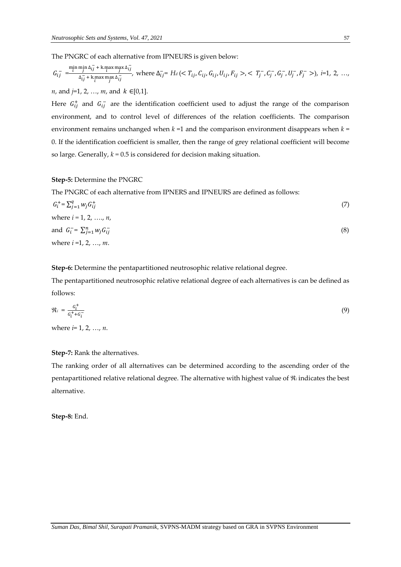The PNGRC of each alternative from IPNEURS is given below:

$$
G_{ij}^{-} = \frac{\min_{i} \min_{j} \Delta_{ij}^{-} + \max_{i} \max_{j} \Delta_{ij}}{\Delta_{ij}^{-} + \max_{i} \max_{j} \Delta_{ij}^{-}}
$$
, where  $\Delta_{ij}^{-} = H_d \, (, ), i=1, 2, \ldots$ ,

*n*, and  $j=1, 2, ..., m$ , and  $k \in [0,1]$ .

Here  $G_{ij}^+$  and  $G_{ij}^-$  are the identification coefficient used to adjust the range of the comparison environment, and to control level of differences of the relation coefficients. The comparison environment remains unchanged when  $k = 1$  and the comparison environment disappears when  $k =$ 0. If the identification coefficient is smaller, then the range of grey relational coefficient will become so large. Generally, *k =* 0.5 is considered for decision making situation.

**Step-5:** Determine the PNGRC

The PNGRC of each alternative from IPNERS and IPNEURS are defined as follows:

$$
G_i^+ = \sum_{j=1}^q w_j G_{ij}^+
$$
  
\nwhere  $i = 1, 2, ..., n$ ,  
\nand  $G_i^- = \sum_{j=1}^n w_j G_{ij}^-$   
\nwhere  $i = 1, 2, ..., m$ . (8)

**Step-6:** Determine the pentapartitioned neutrosophic relative relational degree.

The pentapartitioned neutrosophic relative relational degree of each alternatives is can be defined as follows:

$$
\mathfrak{R}_i = \frac{G_i^+}{G_i^+ + G_i^-} \tag{9}
$$

where *i*= 1, 2, …, *n*.

#### **Step-7:** Rank the alternatives.

The ranking order of all alternatives can be determined according to the ascending order of the pentapartitioned relative relational degree. The alternative with highest value of  $\Re$  indicates the best alternative.

**Step-8:** End.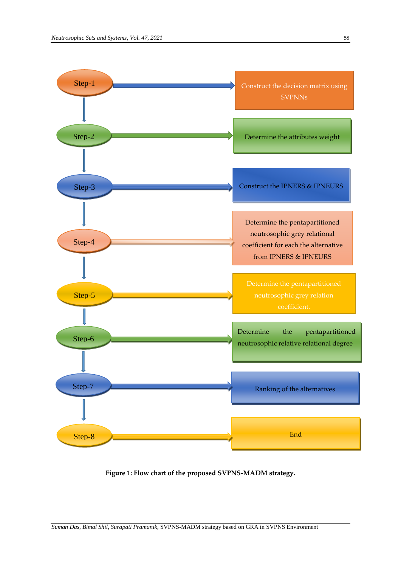

**Figure 1: Flow chart of the proposed SVPNS-MADM strategy.**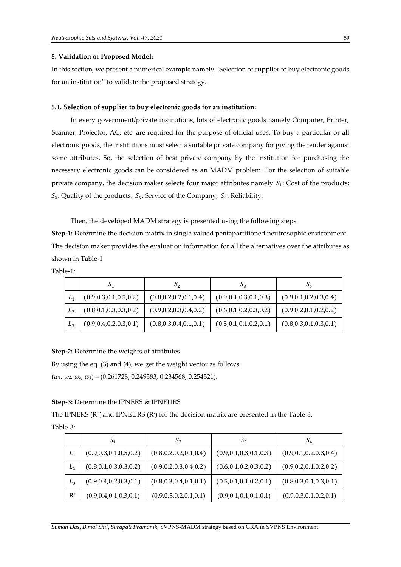#### **5. Validation of Proposed Model:**

In this section, we present a numerical example namely "Selection of supplier to buy electronic goods for an institution" to validate the proposed strategy.

#### **5.1. Selection of supplier to buy electronic goods for an institution:**

In every government/private institutions, lots of electronic goods namely Computer, Printer, Scanner, Projector, AC, etc. are required for the purpose of official uses. To buy a particular or all electronic goods, the institutions must select a suitable private company for giving the tender against some attributes. So, the selection of best private company by the institution for purchasing the necessary electronic goods can be considered as an MADM problem. For the selection of suitable private company, the decision maker selects four major attributes namely  $S_1$ : Cost of the products;  $S_2$ : Quality of the products;  $S_3$ : Service of the Company;  $S_4$ : Reliability.

Then, the developed MADM strategy is presented using the following steps.

**Step-1:** Determine the decision matrix in single valued pentapartitioned neutrosophic environment. The decision maker provides the evaluation information for all the alternatives over the attributes as shown in Table-1

Table-1:

|                | 0۱                        | δ2                        | აკ                        | $\mathcal{D}_4$           |
|----------------|---------------------------|---------------------------|---------------------------|---------------------------|
| L <sub>1</sub> | (0.9, 0.3, 0.1, 0.5, 0.2) | (0.8, 0.2, 0.2, 0.1, 0.4) | (0.9, 0.1, 0.3, 0.1, 0.3) | (0.9, 0.1, 0.2, 0.3, 0.4) |
| $L_2$          | (0.8, 0.1, 0.3, 0.3, 0.2) | (0.9, 0.2, 0.3, 0.4, 0.2) | (0.6, 0.1, 0.2, 0.3, 0.2) | (0.9, 0.2, 0.1, 0.2, 0.2) |
| L <sub>3</sub> | (0.9, 0.4, 0.2, 0.3, 0.1) | (0.8, 0.3, 0.4, 0.1, 0.1) | (0.5, 0.1, 0.1, 0.2, 0.1) | (0.8, 0.3, 0.1, 0.3, 0.1) |

**Step-2:** Determine the weights of attributes

By using the eq. (3) and (4), we get the weight vector as follows:

(*w*1, *w*2, *w*3, *w*4) = (0.261728, 0.249383, 0.234568, 0.254321).

# **Step-3:** Determine the IPNERS & IPNEURS

The IPNERS  $(R^+)$  and IPNEURS  $(R^-)$  for the decision matrix are presented in the Table-3.

Table-3:

|                | $S_1$                     | $S_2$                     | $S_3$                     | $S_4$                     |
|----------------|---------------------------|---------------------------|---------------------------|---------------------------|
| $L_1$          | (0.9, 0.3, 0.1, 0.5, 0.2) | (0.8, 0.2, 0.2, 0.1, 0.4) | (0.9, 0.1, 0.3, 0.1, 0.3) | (0.9, 0.1, 0.2, 0.3, 0.4) |
| L <sub>2</sub> | (0.8, 0.1, 0.3, 0.3, 0.2) | (0.9, 0.2, 0.3, 0.4, 0.2) | (0.6, 0.1, 0.2, 0.3, 0.2) | (0.9, 0.2, 0.1, 0.2, 0.2) |
| L <sub>3</sub> | (0.9, 0.4, 0.2, 0.3, 0.1) | (0.8, 0.3, 0.4, 0.1, 0.1) | (0.5, 0.1, 0.1, 0.2, 0.1) | (0.8, 0.3, 0.1, 0.3, 0.1) |
| $R^+$          | (0.9, 0.4, 0.1, 0.3, 0.1) | (0.9, 0.3, 0.2, 0.1, 0.1) | (0.9, 0.1, 0.1, 0.1, 0.1) | (0.9, 0.3, 0.1, 0.2, 0.1) |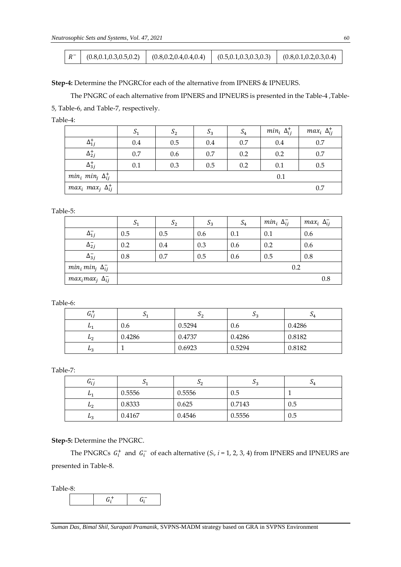|  | (0.8, 0.1, 0.3, 0.5, 0.2) | (0.8, 0.2, 0.4, 0.4, 0.4) | (0.5, 0.1, 0.3, 0.3, 0.3) | (0.8, 0.1, 0.2, 0.3, 0.4) |
|--|---------------------------|---------------------------|---------------------------|---------------------------|
|--|---------------------------|---------------------------|---------------------------|---------------------------|

**Step-4:** Determine the PNGRCfor each of the alternative from IPNERS & IPNEURS.

The PNGRC of each alternative from IPNERS and IPNEURS is presented in the Table-4 ,Table-

5, Table-6, and Table-7, respectively.

Table-4:

|                                  | S <sub>1</sub> | S <sub>2</sub> | $S_3$ | $S_4$ | $min_i \Delta_{ii}^+$ | $max_i \Delta_{ii}^+$ |
|----------------------------------|----------------|----------------|-------|-------|-----------------------|-----------------------|
| $\Delta_{1j}^+$                  | 0.4            | 0.5            | 0.4   | 0.7   | 0.4                   | 0.7                   |
| $\Delta_{2j}^{+}$                | 0.7            | 0.6            | 0.7   | 0.2   | 0.2                   | 0.7                   |
| $\Delta_{3i}^{+}$                | 0.1            | 0.3            | 0.5   | 0.2   | 0.1                   | 0.5                   |
| $min_i$ $min_j$ $\Delta_{ij}^+$  |                |                |       |       | 0.1                   |                       |
| $max_i$ max $_j$ $\Delta_{ij}^+$ |                |                |       |       |                       | 0.7                   |

Table-5:

|                             | $D_1$ | $S_2$ | $S_3$ | $S_4$ | $min_i \Delta_{ii}^-$ | $max_i \Delta_{ij}^-$ |
|-----------------------------|-------|-------|-------|-------|-----------------------|-----------------------|
| $\Delta_{1j}^-$             | 0.5   | 0.5   | 0.6   | 0.1   | 0.1                   | 0.6                   |
| $\Delta_{2j}^-$             | 0.2   | 0.4   | 0.3   | 0.6   | 0.2                   | 0.6                   |
| $\Delta_{3j}^-$             | 0.8   | 0.7   | 0.5   | 0.6   | 0.5                   | 0.8                   |
| $min_i min_j \Delta_{ij}^-$ |       |       |       |       | 0.2                   |                       |
| $max_i max_j \Delta_{ij}^-$ |       |       |       |       |                       | 0.8                   |

Table-6:

| $G_{ij}^+$ | 1 ب    | ມາ     | ມາ     | $\mathcal{Q}_4$ |
|------------|--------|--------|--------|-----------------|
| L1         | 0.6    | 0.5294 | 0.6    | 0.4286          |
| $L_2$      | 0.4286 | 0.4737 | 0.4286 | 0.8182          |
| $L_3$      |        | 0.6923 | 0.5294 | 0.8182          |

Table-7:

| $\sim$ $-$<br>$u_{ij}$ | 01     | ژ ب    | ്ദ     | J4  |
|------------------------|--------|--------|--------|-----|
| $L_{1}$                | 0.5556 | 0.5556 | 0.5    |     |
| $E_2$                  | 0.8333 | 0.625  | 0.7143 | 0.5 |
| L <sub>2</sub>         | 0.4167 | 0.4546 | 0.5556 | 0.5 |

**Step-5:** Determine the PNGRC.

The PNGRCs  $G_i^+$  and  $G_i^-$  of each alternative ( $S_i$ ,  $i = 1, 2, 3, 4$ ) from IPNERS and IPNEURS are presented in Table-8.

Table-8:

 $G_i^+$  $\begin{array}{cc} t_i^+ & \qquad \qquad G_i^- \end{array}$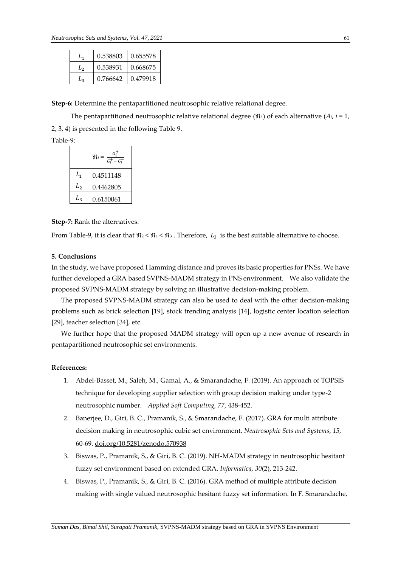| L٦ | 0.538803 | 0.655578 |
|----|----------|----------|
| L۰ | 0.538931 | 0.668675 |
| Lз | 0.766642 | 0.479918 |

**Step-6:** Determine the pentapartitioned neutrosophic relative relational degree.

The pentapartitioned neutrosophic relative relational degree  $(\Re_i)$  of each alternative  $(A_i, i = 1,$ 

2, 3, 4) is presented in the following Table 9.

Table-9:

|    | $\frac{G_i^+}{G_i^+ + G_i^-}$<br>$\Re_i =$ |
|----|--------------------------------------------|
| L, | 0.4511148                                  |
| L, | 0.4462805                                  |
| L, | 0.6150061                                  |

**Step-7:** Rank the alternatives.

From Table-9, it is clear that  $\Re_2 < \Re_1 < \Re_3$ . Therefore,  $L_3$  is the best suitable alternative to choose.

# **5. Conclusions**

In the study, we have proposed Hamming distance and proves its basic properties for PNSs. We have further developed a GRA based SVPNS-MADM strategy in PNS environment. We also validate the proposed SVPNS-MADM strategy by solving an illustrative decision-making problem.

The proposed SVPNS-MADM strategy can also be used to deal with the other decision-making problems such as brick selection [19], stock trending analysis [14], logistic center location selection [29], teacher selection [34], etc.

We further hope that the proposed MADM strategy will open up a new avenue of research in pentapartitioned neutrosophic set environments.

# **References:**

- 1. Abdel-Basset, M., Saleh, M., Gamal, A., & Smarandache, F. (2019). An approach of TOPSIS technique for developing supplier selection with group decision making under type-2 neutrosophic number. *Applied Soft Computing, 77*, 438-452.
- 2. Banerjee, D., Giri, B. C., Pramanik, S., & Smarandache, F. (2017). GRA for multi attribute decision making in neutrosophic cubic set environment. *Neutrosophic Sets and Systems*, *15,*  60-69. [doi.org/10.5281/zenodo.570938](https://doi.org/10.5281/zenodo.570938)
- 3. Biswas, P., Pramanik, S., & Giri, B. C. (2019). NH-MADM strategy in neutrosophic hesitant fuzzy set environment based on extended GRA. *Informatica*, *30*(2), 213-242.
- 4. Biswas, P., Pramanik, S., & Giri, B. C. (2016). GRA method of multiple attribute decision making with single valued neutrosophic hesitant fuzzy set information. In F. Smarandache,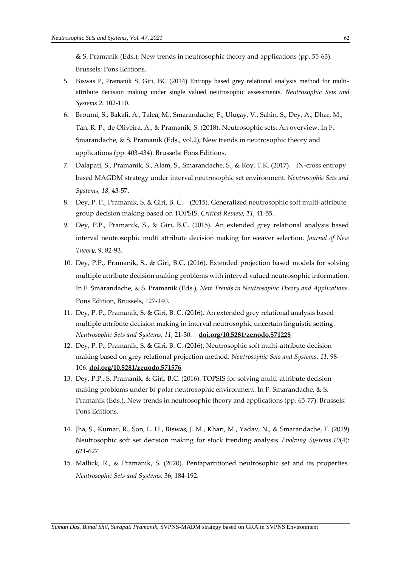& S. Pramanik (Eds.), New trends in neutrosophic theory and applications (pp. 55-63). Brussels: Pons Editions.

- 5. Biswas P, Pramanik S, Giri, BC (2014) Entropy based grey relational analysis method for multiattribute decision making under single valued neutrosophic assessments. *Neutrosophic Sets and Systems 2*, 102-110.
- 6. Broumi, S., Bakali, A., Talea, M., Smarandache, F., Uluçay, V., Sahin, S., Dey, A., Dhar, M., Tan, R. P., de Oliveira, A., & Pramanik, S. (2018). Neutrosophic sets: An overview. In F. Smarandache, & S. Pramanik (Eds., vol.2), New trends in neutrosophic theory and applications (pp. 403-434). Brussels: Pons Editions.
- 7. Dalapati, S., Pramanik, S., Alam, S., Smarandache, S., & Roy, T.K. (2017). IN-cross entropy based MAGDM strategy under interval neutrosophic set environment. *Neutrosophic Sets and Systems, 18*, 43-57.
- 8. Dey, P. P., Pramanik, S. & Giri, B. C. (2015). Generalized neutrosophic soft multi-attribute group decision making based on TOPSIS. *Critical Review, 11*, 41-55.
- 9. Dey, P.P., Pramanik, S., & Giri, B.C. (2015). An extended grey relational analysis based interval neutrosophic multi attribute decision making for weaver selection. *Journal of New Theory*, 9, 82-93.
- 10. Dey, P.P., Pramanik, S., & Giri, B.C. (2016). Extended projection based models for solving multiple attribute decision making problems with interval valued neutrosophic information. In F. Smarandache, & S. Pramanik (Eds.), *New Trends in Neutrosophic Theory and Applications*. Pons Edition, Brussels, 127-140.
- 11. Dey, P. P., Pramanik, S. & Giri, B. C. (2016). An extended grey relational analysis based multiple attribute decision making in interval neutrosophic uncertain linguistic setting. *Neutrosophic Sets and Systems*, *11*, 21-30. **[doi.org/10.5281/zenodo.571228](https://doi.org/10.5281/zenodo.571228)**
- 12. Dey, P. P., Pramanik, S. & Giri, B. C. (2016). Neutrosophic soft multi-attribute decision making based on grey relational projection method. *Neutrosophic Sets and Systems*, *11*, 98- 106. **[doi.org/10.5281/zenodo.571576](https://doi.org/10.5281/zenodo.571576)**
- 13. Dey, P.P., S. Pramanik, & Giri, B.C. (2016). TOPSIS for solving multi-attribute decision making problems under bi-polar neutrosophic environment. In F. Smarandache, & S. Pramanik (Eds.), New trends in neutrosophic theory and applications (pp. 65-77). Brussels: Pons Editions.
- 14. Jha, S., Kumar, R., Son, L. H., Biswas, J. M., Khari, M., Yadav, N., & Smarandache, F. (2019) Neutrosophic soft set decision making for stock trending analysis. *Evolving Systems 10*(4): 621-627
- 15. Mallick, R., & Pramanik, S. (2020). Pentapartitioned neutrosophic set and its properties. *Neutrosophic Sets and Systems*, 36, 184-192.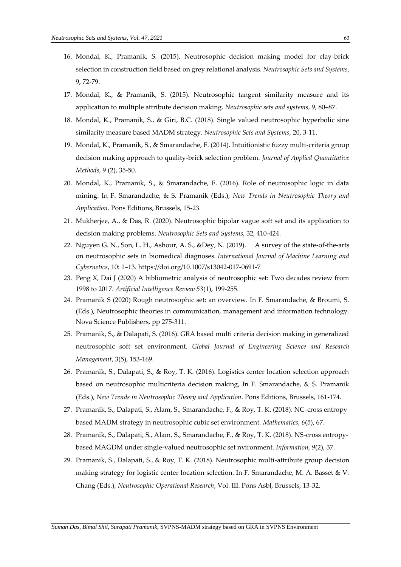- 16. Mondal, K., Pramanik, S. (2015). Neutrosophic decision making model for clay-brick selection in construction field based on grey relational analysis. *Neutrosophic Sets and Systems*, 9, 72-79.
- 17. Mondal, K., & Pramanik, S. (2015). Neutrosophic tangent similarity measure and its application to multiple attribute decision making. *Neutrosophic sets and systems*, 9, 80–87.
- 18. Mondal, K., Pramanik, S., & Giri, B.C. (2018). Single valued neutrosophic hyperbolic sine similarity measure based MADM strategy. *Neutrosophic Sets and Systems*, 20, 3-11.
- 19. Mondal, K., Pramanik, S., & Smarandache, F. (2014). Intuitionistic fuzzy multi-criteria group decision making approach to quality-brick selection problem. *Journal of Applied Quantitative Methods*, 9 (2), 35-50.
- 20. Mondal, K., Pramanik, S., & Smarandache, F. (2016). Role of neutrosophic logic in data mining. In F. Smarandache, & S. Pramanik (Eds.), *New Trends in Neutrosophic Theory and Application*. Pons Editions, Brussels, 15-23.
- 21. Mukherjee, A., & Das, R. (2020). Neutrosophic bipolar vague soft set and its application to decision making problems. *Neutrosophic Sets and Systems*, 32, 410-424.
- 22. Nguyen G. N., Son, L. H., Ashour, A. S., &Dey, N. (2019). A survey of the state-of-the-arts on neutrosophic sets in biomedical diagnoses. *International Journal of Machine Learning and Cybernetics*, 10: 1–13. https://doi.org/10.1007/s13042-017-0691-7
- 23. Peng X, Dai J (2020) A bibliometric analysis of neutrosophic set: Two decades review from 1998 to 2017. *Artificial Intelligence Review 53*(1), 199-255.
- 24. Pramanik S (2020) Rough neutrosophic set: an overview. In F. Smarandache, & Broumi, S. (Eds.), Neutrosophic theories in communication, management and information technology. Nova Science Publishers, pp 275-311.
- 25. Pramanik, S., & Dalapati, S. (2016). GRA based multi criteria decision making in generalized neutrosophic soft set environment. *Global Journal of Engineering Science and Research Management*, 3(5), 153-169.
- 26. Pramanik, S., Dalapati, S., & Roy, T. K. (2016). Logistics center location selection approach based on neutrosophic multicriteria decision making, In F. Smarandache, & S. Pramanik (Eds.), *New Trends in Neutrosophic Theory and Application*. Pons Editions, Brussels, 161-174.
- 27. Pramanik, S., Dalapati, S., Alam, S., Smarandache, F., & Roy, T. K. (2018). NC-cross entropy based MADM strategy in neutrosophic cubic set environment. *Mathematics*, *6*(5), 67.
- 28. Pramanik, S., Dalapati, S., Alam, S., Smarandache, F., & Roy, T. K. (2018). NS-cross entropybased MAGDM under single-valued neutrosophic set nvironment. *Information*, *9*(2), 37.
- 29. Pramanik, S., Dalapati, S., & Roy, T. K. (2018). Neutrosophic multi-attribute group decision making strategy for logistic center location selection. In F. Smarandache, M. A. Basset & V. Chang (Eds.), *Neutrosophic Operational Research*, Vol. III. Pons Asbl, Brussels, 13-32.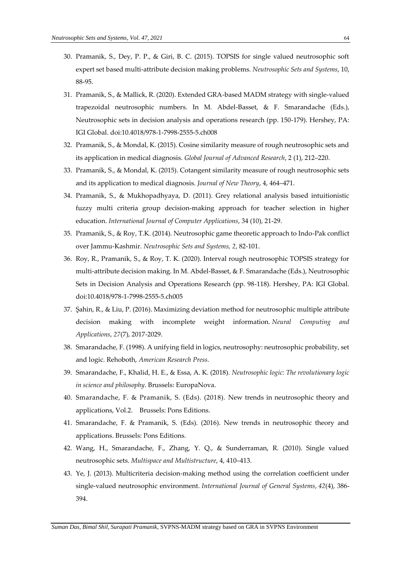- 30. Pramanik, S., Dey, P. P., & Giri, B. C. (2015). TOPSIS for single valued neutrosophic soft expert set based multi-attribute decision making problems. *Neutrosophic Sets and Systems*, 10, 88-95.
- 31. Pramanik, S., & Mallick, R. (2020). Extended GRA-based MADM strategy with single-valued trapezoidal neutrosophic numbers. In M. Abdel-Basset, & F. Smarandache (Eds.), Neutrosophic sets in decision analysis and operations research (pp. 150-179). Hershey, PA: IGI Global. doi:10.4018/978-1-7998-2555-5.ch008
- 32. Pramanik, S., & Mondal, K. (2015). Cosine similarity measure of rough neutrosophic sets and its application in medical diagnosis. *Global Journal of Advanced Research*, 2 (1), 212–220.
- 33. Pramanik, S., & Mondal, K. (2015). Cotangent similarity measure of rough neutrosophic sets and its application to medical diagnosis. *Journal of New Theory*, 4, 464–471.
- 34. Pramanik, S., & Mukhopadhyaya, D. (2011). Grey relational analysis based intuitionistic fuzzy multi criteria group decision-making approach for teacher selection in higher education. *International Journal of Computer Applications*, 34 (10), 21-29.
- 35. Pramanik, S., & Roy, T.K. (2014). Neutrosophic game theoretic approach to Indo-Pak conflict over Jammu-Kashmir. *Neutrosophic Sets and Systems, 2*, 82-101.
- 36. Roy, R., Pramanik, S., & Roy, T. K. (2020). Interval rough neutrosophic TOPSIS strategy for multi-attribute decision making. In M. Abdel-Basset, & F. Smarandache (Eds.), Neutrosophic Sets in Decision Analysis and Operations Research (pp. 98-118). Hershey, PA: IGI Global. doi:10.4018/978-1-7998-2555-5.ch005
- 37. Şahin, R., & Liu, P. (2016). Maximizing deviation method for neutrosophic multiple attribute decision making with incomplete weight information. *Neural Computing and Applications*, *27*(7), 2017-2029.
- 38. Smarandache, F. (1998). A unifying field in logics, neutrosophy: neutrosophic probability, set and logic. Rehoboth, *American Research Press*.
- 39. Smarandache, F., Khalid, H. E., & Essa, A. K. (2018). *Neutrosophic logic: The revolutionary logic in science and philosophy*. Brussels: EuropaNova.
- 40. Smarandache, F. & Pramanik, S. (Eds). (2018). New trends in neutrosophic theory and applications, Vol.2. Brussels: Pons Editions.
- 41. Smarandache, F. & Pramanik, S. (Eds). (2016). New trends in neutrosophic theory and applications. Brussels: Pons Editions.
- 42. Wang, H., Smarandache, F., Zhang, Y. Q., & Sunderraman, R. (2010). Single valued neutrosophic sets. *Multispace and Multistructure*, 4, 410–413.
- 43. Ye, J. (2013). Multicriteria decision-making method using the correlation coefficient under single-valued neutrosophic environment. *International Journal of General Systems*, *42*(4), 386- 394.